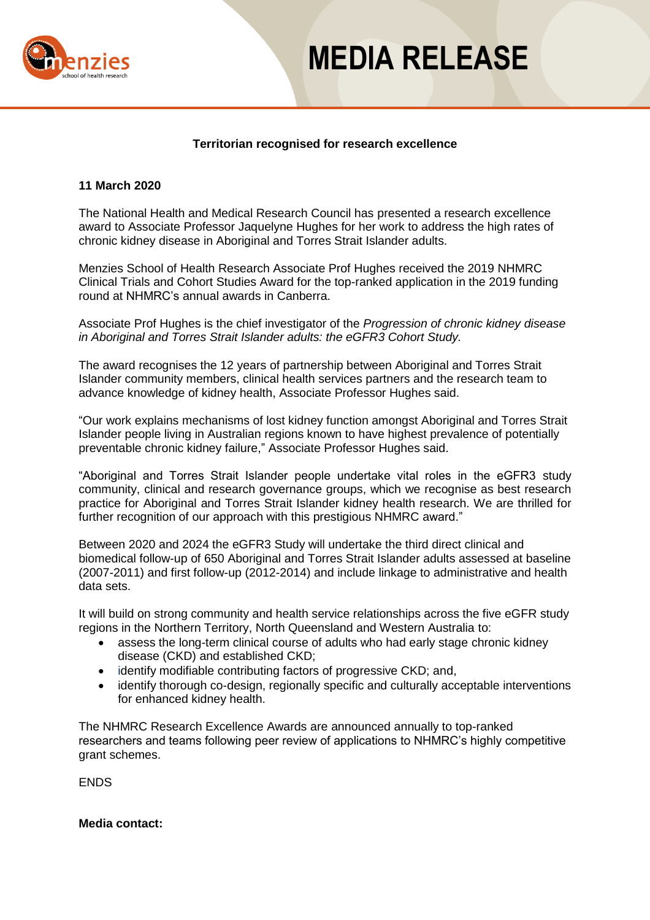

# **MEDIA RELEASE**

# **Territorian recognised for research excellence**

### **11 March 2020**

The National Health and Medical Research Council has presented a research excellence award to Associate Professor Jaquelyne Hughes for her work to address the high rates of chronic kidney disease in Aboriginal and Torres Strait Islander adults.

Menzies School of Health Research Associate Prof Hughes received the 2019 NHMRC Clinical Trials and Cohort Studies Award for the top-ranked application in the 2019 funding round at NHMRC's annual awards in Canberra.

Associate Prof Hughes is the chief investigator of the *Progression of chronic kidney disease in Aboriginal and Torres Strait Islander adults: the eGFR3 Cohort Study.*

The award recognises the 12 years of partnership between Aboriginal and Torres Strait Islander community members, clinical health services partners and the research team to advance knowledge of kidney health, Associate Professor Hughes said.

"Our work explains mechanisms of lost kidney function amongst Aboriginal and Torres Strait Islander people living in Australian regions known to have highest prevalence of potentially preventable chronic kidney failure," Associate Professor Hughes said.

"Aboriginal and Torres Strait Islander people undertake vital roles in the eGFR3 study community, clinical and research governance groups, which we recognise as best research practice for Aboriginal and Torres Strait Islander kidney health research. We are thrilled for further recognition of our approach with this prestigious NHMRC award."

Between 2020 and 2024 the eGFR3 Study will undertake the third direct clinical and biomedical follow-up of 650 Aboriginal and Torres Strait Islander adults assessed at baseline (2007-2011) and first follow-up (2012-2014) and include linkage to administrative and health data sets.

It will build on strong community and health service relationships across the five eGFR study regions in the Northern Territory, North Queensland and Western Australia to:

- assess the long-term clinical course of adults who had early stage chronic kidney disease (CKD) and established CKD;
- identify modifiable contributing factors of progressive CKD; and,
- identify thorough co-design, regionally specific and culturally acceptable interventions for enhanced kidney health.

The NHMRC Research Excellence Awards are announced annually to top-ranked researchers and teams following peer review of applications to NHMRC's highly competitive grant schemes.

ENDS

#### **Media contact:**